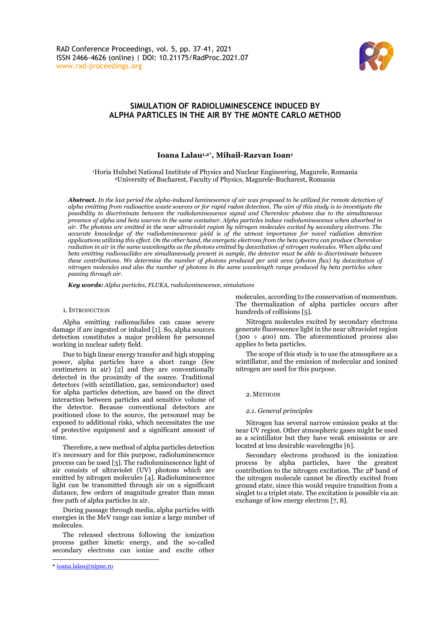

# **SIMULATION OF RADIOLUMINESCENCE INDUCED BY ALPHA PARTICLES IN THE AIR BY THE MONTE CARLO METHOD**

# **Ioana Lalau1,2\* , Mihail-Razvan Ioan<sup>1</sup>**

<sup>1</sup>Horia Hulubei National Institute of Physics and Nuclear Engineering, Magurele, Romania <sup>2</sup>University of Bucharest, Faculty of Physics, Magurele-Bucharest, Romania

*Abstract. In the last period the alpha-induced luminescence of air was proposed to be utilized for remote detection of alpha emitting from radioactive waste sources or for rapid radon detection. The aim of this study is to investigate the possibility to discriminate between the radioluminescence signal and Cherenkov photons due to the simultaneous presence of alpha and beta sources in the same container. Alpha particles induce radioluminescence when absorbed in air. The photons are emitted in the near ultraviolet region by nitrogen molecules excited by secondary electrons. The accurate knowledge of the radioluminescence yield is of the utmost importance for novel radiation detection applications utilizing this effect. On the other hand, the energetic electrons from the beta spectra can produce Cherenkov radiation in air in the same wavelengths as the photons emitted by deexcitation of nitrogen molecules. When alpha and beta emitting radionuclides are simultaneously present in sample, the detector must be able to discriminate between these contributions. We determine the number of photons produced per unit area (photon flux) by deexcitation of nitrogen molecules and also the number of photons in the same wavelength range produced by beta particles when passing through air.* 

*Key words: Alpha particles, FLUKA, radioluminescence, simulations*

## 1.INTRODUCTION

Alpha emitting radionuclides can cause severe damage if are ingested or inhaled [1]. So, alpha sources detection constitutes a major problem for personnel working in nuclear safety field.

Due to high linear energy transfer and high stopping power, alpha particles have a short range (few centimeters in air) [2] and they are conventionally detected in the proximity of the source. Traditional detectors (with scintillation, gas, semiconductor) used for alpha particles detection, are based on the direct interaction between particles and sensitive volume of the detector. Because conventional detectors are positioned close to the source, the personnel may be exposed to additional risks, which necessitates the use of protective equipment and a significant amount of time.

Therefore, a new method of alpha particles detection it's necessary and for this purpose, radioluminescence process can be used [3]. The radioluminescence light of air consists of ultraviolet (UV) photons which are emitted by nitrogen molecules [4]. Radioluminescence light can be transmitted through air on a significant distance, few orders of magnitude greater than mean free path of alpha particles in air.

During passage through media, alpha particles with energies in the MeV range can ionize a large number of molecules.

The released electrons following the ionization process gather kinetic energy, and the so-called secondary electrons can ionize and excite other

molecules, according to the conservation of momentum. The thermalization of alpha particles occurs after hundreds of collisions [5].

Nitrogen molecules excited by secondary electrons generate fluorescence light in the near ultraviolet region  $(300 \div 400)$  nm. The aforementioned process also applies to beta particles.

The scope of this study is to use the atmosphere as a scintillator, and the emission of molecular and ionized nitrogen are used for this purpose.

## 2. METHODS

#### *2.1. General principles*

Nitrogen has several narrow emission peaks at the near UV region. Other atmospheric gases might be used as a scintillator but they have weak emissions or are located at less desirable wavelengths [6].

Secondary electrons produced in the ionization process by alpha particles, have the greatest contribution to the nitrogen excitation. The 2P band of the nitrogen molecule cannot be directly excited from ground state, since this would require transition from a singlet to a triplet state. The excitation is possible via an exchange of low energy electron [7, 8].

<sup>\*</sup> [ioana.lalau@nipne.ro](mailto:ioana.lalau@nipne.ro)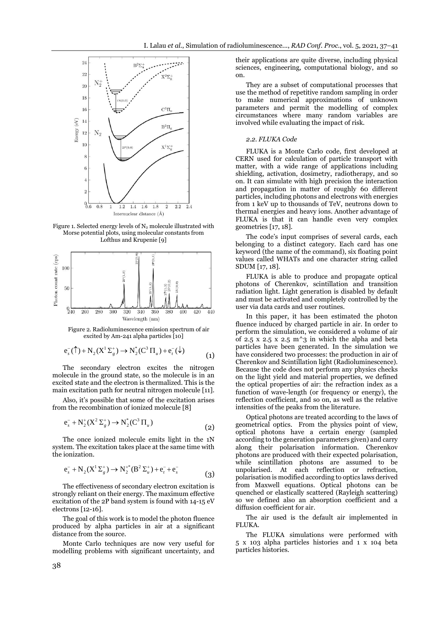

Figure 1. Selected energy levels of  $N_2$  molecule illustrated with Morse potential plots, using molecular constants from Lofthus and Krupenie [9]



Figure 2. Radioluminescence emission spectrum of air excited by Am-241 alpha particles [10]

$$
e_s^-(\uparrow) + N_2(X^1\Sigma_g^+) \to N_2^*(C^3\Pi_u) + e_t^-(\downarrow)
$$
 (1)

The secondary electron excites the nitrogen molecule in the ground state, so the molecule is in an excited state and the electron is thermalized. This is the main excitation path for neutral nitrogen molecule [11].

Also, it's possible that some of the excitation arises from the recombination of ionized molecule [8]

$$
e_s^- + N_2^+(X^2 \Sigma_g^+) \to N_2^*(C^3 \Pi_u)
$$
\n(2)

The once ionized molecule emits light in the 1N system. The excitation takes place at the same time with the ionization.

$$
e_s^- + N_2(X^1 \Sigma_g^+) \to N_2^{**} (B^2 \Sigma_u^+) + e_t^- + e_s^-
$$
 (3)

The effectiveness of secondary electron excitation is strongly reliant on their energy. The maximum effective excitation of the 2P band system is found with 14-15 eV electrons [12-16].

The goal of this work is to model the photon fluence produced by alpha particles in air at a significant distance from the source.

Monte Carlo techniques are now very useful for modelling problems with significant uncertainty, and their applications are quite diverse, including physical sciences, engineering, computational biology, and so on.

They are a subset of computational processes that use the method of repetitive random sampling in order to make numerical approximations of unknown parameters and permit the modelling of complex circumstances where many random variables are involved while evaluating the impact of risk.

### *2.2. FLUKA Code*

FLUKA is a Monte Carlo code, first developed at CERN used for calculation of particle transport with matter, with a wide range of applications including shielding, activation, dosimetry, radiotherapy, and so on. It can simulate with high precision the interaction and propagation in matter of roughly 60 different particles, including photons and electrons with energies from 1 keV up to thousands of TeV, neutrons down to thermal energies and heavy ions. Another advantage of FLUKA is that it can handle even very complex geometries [17, 18].

The code's input comprises of several cards, each belonging to a distinct category. Each card has one keyword (the name of the command), six floating point values called WHATs and one character string called SDUM [17, 18].

FLUKA is able to produce and propagate optical photons of Cherenkov, scintillation and transition radiation light. Light generation is disabled by default and must be activated and completely controlled by the user via data cards and user routines.

In this paper, it has been estimated the photon fluence induced by charged particle in air. In order to perform the simulation, we considered a volume of air of 2.5 x 2.5 x 2.5 m^3 in which the alpha and beta particles have been generated. In the simulation we have considered two processes: the production in air of Cherenkov and Scintillation light (Radioluminescence). Because the code does not perform any physics checks on the light yield and material properties, we defined the optical properties of air: the refraction index as a function of wave-length (or frequency or energy), the reflection coefficient, and so on, as well as the relative intensities of the peaks from the literature.

Optical photons are treated according to the laws of geometrical optics. From the physics point of view, optical photons have a certain energy (sampled according to the generation parameters given) and carry along their polarisation information. Cherenkov photons are produced with their expected polarisation, while scintillation photons are assumed to be unpolarised. At each reflection or refraction, polarisation is modified according to optics laws derived from Maxwell equations. Optical photons can be quenched or elastically scattered (Rayleigh scattering) so we defined also an absorption coefficient and a diffusion coefficient for air.

The air used is the default air implemented in FLUKA.

The FLUKA simulations were performed with 5 x 103 alpha particles histories and 1 x 104 beta particles histories.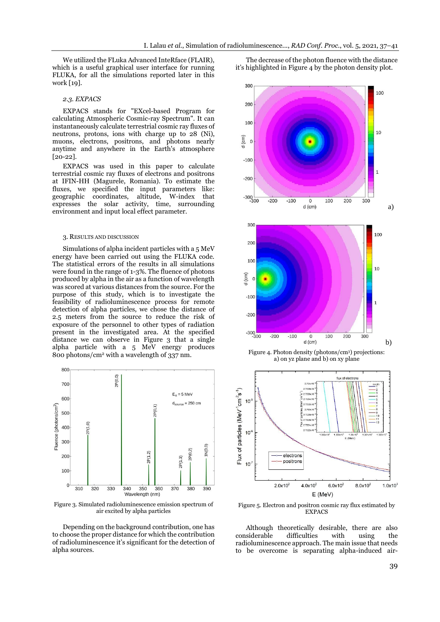We utilized the FLuka Advanced InteRface (FLAIR), which is a useful graphical user interface for running FLUKA, for all the simulations reported later in this work [19].

#### *2.3. EXPACS*

EXPACS stands for "EXcel-based Program for calculating Atmospheric Cosmic-ray Spectrum". It can instantaneously calculate terrestrial cosmic ray fluxes of neutrons, protons, ions with charge up to 28 (Ni), muons, electrons, positrons, and photons nearly anytime and anywhere in the Earth's atmosphere [20-22].

EXPACS was used in this paper to calculate terrestrial cosmic ray fluxes of electrons and positrons at IFIN-HH (Magurele, Romania). To estimate the fluxes, we specified the input parameters like: geographic coordinates, altitude, W-index that expresses the solar activity, time, surrounding environment and input local effect parameter.

### 3. RESULTS AND DISCUSSION

Simulations of alpha incident particles with a 5 MeV energy have been carried out using the FLUKA code. The statistical errors of the results in all simulations were found in the range of 1-3%. The fluence of photons produced by alpha in the air as a function of wavelength was scored at various distances from the source. For the purpose of this study, which is to investigate the feasibility of radioluminescence process for remote detection of alpha particles, we chose the distance of 2.5 meters from the source to reduce the risk of exposure of the personnel to other types of radiation present in the investigated area. At the specified distance we can observe in Figure 3 that a single alpha particle with a 5 MeV energy produces 800 photons/cm<sup>2</sup> with a wavelength of 337 nm.



Figure 3. Simulated radioluminescence emission spectrum of air excited by alpha particles

Depending on the background contribution, one has to choose the proper distance for which the contribution of radioluminescence it's significant for the detection of alpha sources.

The decrease of the photon fluence with the distance it's highlighted in Figure 4 by the photon density plot.





Figure 5. Electron and positron cosmic ray flux estimated by EXPACS

Although theoretically desirable, there are also considerable difficulties with using the radioluminescence approach. The main issue that needs to be overcome is separating alpha-induced air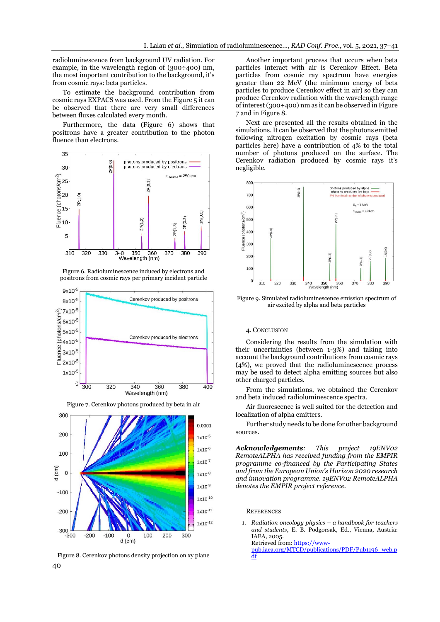radioluminescence from background UV radiation. For example, in the wavelength region of  $(300 \div 400)$  nm, the most important contribution to the background, it's from cosmic rays: beta particles.

To estimate the background contribution from cosmic rays EXPACS was used. From the Figure 5 it can be observed that there are very small differences between fluxes calculated every month.

Furthermore, the data (Figure 6) shows that positrons have a greater contribution to the photon fluence than electrons.



Figure 6. Radioluminescence induced by electrons and positrons from cosmic rays per primary incident particle





Figure 7. Cerenkov photons produced by beta in air

Figure 8. Cerenkov photons density projection on xy plane

Another important process that occurs when beta particles interact with air is Cerenkov Effect. Beta particles from cosmic ray spectrum have energies greater than 22 MeV (the minimum energy of beta particles to produce Cerenkov effect in air) so they can produce Cerenkov radiation with the wavelength range of interest (300÷400) nm as it can be observed in Figure 7 and in Figure 8.

Next are presented all the results obtained in the simulations. It can be observed that the photons emitted following nitrogen excitation by cosmic rays (beta particles here) have a contribution of 4% to the total number of photons produced on the surface. The Cerenkov radiation produced by cosmic rays it's negligible.



Figure 9. Simulated radioluminescence emission spectrum of air excited by alpha and beta particles

# 4. CONCLUSION

Considering the results from the simulation with their uncertainties (between 1-3%) and taking into account the background contributions from cosmic rays (4%), we proved that the radioluminescence process may be used to detect alpha emitting sources but also other charged particles.

From the simulations, we obtained the Cerenkov and beta induced radioluminescence spectra.

Air fluorescence is well suited for the detection and localization of alpha emitters.

Further study needs to be done for other background sources.

*Acknowledgements: This project 19ENV02 RemoteALPHA has received funding from the EMPIR programme co-financed by the Participating States and from the European Union's Horizon 2020 research and innovation programme. 19ENV02 RemoteALPHA denotes the EMPIR project reference.* 

#### **REFERENCES**

1. *Radiation oncology physics – a handbook for teachers and students*, E. B. Podgorsak, Ed., Vienna, Austria: IAEA, 2005. Retrieved from[: https://www-](https://www-pub.iaea.org/MTCD/publications/PDF/Pub1196_web.pdf)

[pub.iaea.org/MTCD/publications/PDF/Pub1196\\_web.p](https://www-pub.iaea.org/MTCD/publications/PDF/Pub1196_web.pdf) [df](https://www-pub.iaea.org/MTCD/publications/PDF/Pub1196_web.pdf)